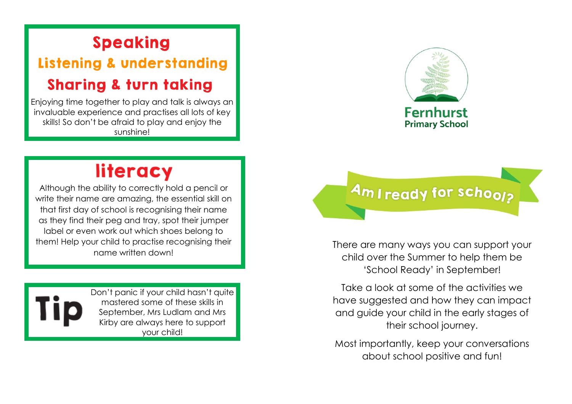#### **Speaking**

### **Listening & understanding Sharing & turn taking**

Enjoying time together to play and talk is always an invaluable experience and practises all lots of key skills! So don't be afraid to play and enjoy the sunshine!

### literacy

Although the ability to correctly hold a pencil or write their name are amazing, the essential skill on that first day of school is recognising their name as they find their peg and tray, spot their jumper label or even work out which shoes belong to them! Help your child to practise recognising their name written down!



Don't panic if your child hasn't quite mastered some of these skills in September, Mrs Ludlam and Mrs Kirby are always here to support your child!



**Primary School** 



There are many ways you can support your child over the Summer to help them be 'School Ready' in September!

Take a look at some of the activities we have suggested and how they can impact and guide your child in the early stages of their school journey.

Most importantly, keep your conversations about school positive and fun!